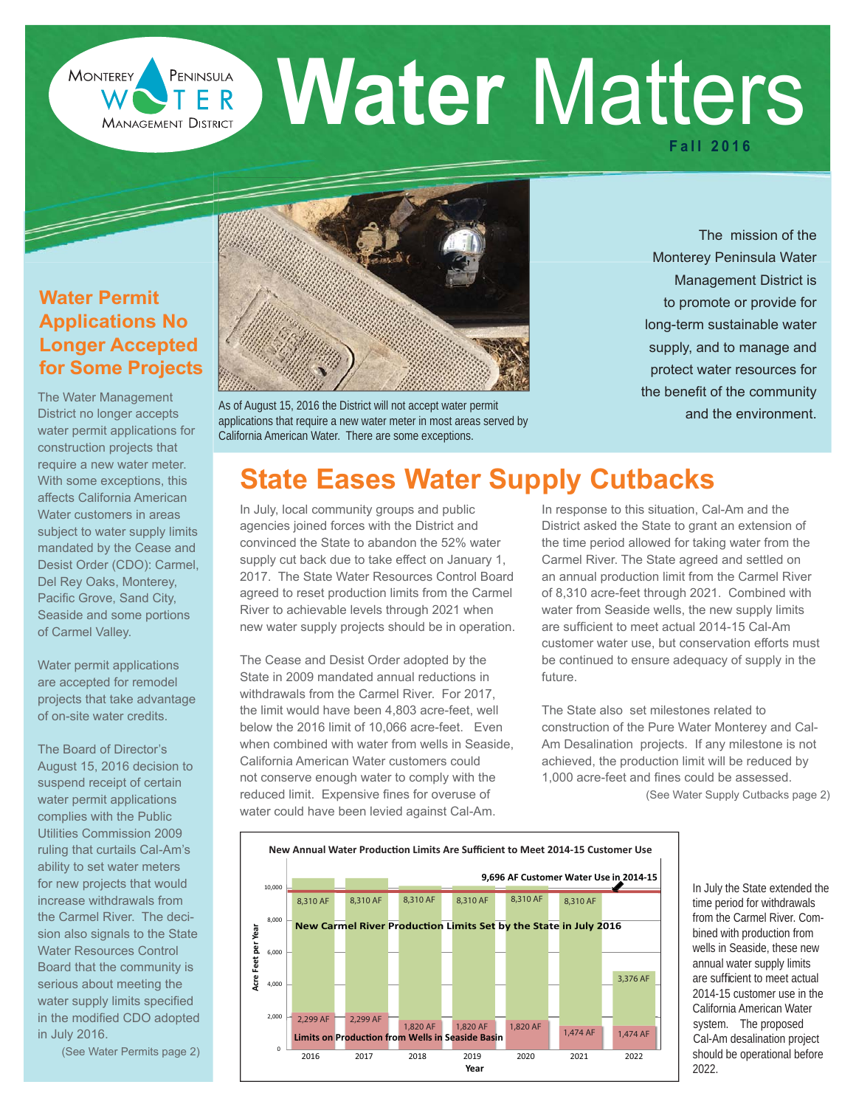**Water Matters Fall 2016**

## **Water Permit Applications No Longer Accepted for Some Projects**

**MONTEREY** 

F S

**MANAGEMENT DISTRICT** 

The Water Management District no longer accepts water permit applications for construction projects that require a new water meter. With some exceptions, this affects California American Water customers in areas subject to water supply limits mandated by the Cease and Desist Order (CDO): Carmel, Del Rey Oaks, Monterey, Pacific Grove, Sand City, Seaside and some portions of Carmel Valley.

Water permit applications are accepted for remodel projects that take advantage of on-site water credits.

The Board of Director's August 15, 2016 decision to suspend receipt of certain water permit applications complies with the Public Utilities Commission 2009 ruling that curtails Cal-Am's ability to set water meters for new projects that would increase withdrawals from the Carmel River. The decision also signals to the State Water Resources Control Board that the community is serious about meeting the water supply limits specified in the modified CDO adopted in July 2016.

(See Water Permits page 2)



As of August 15, 2016 the District will not accept water permit applications that require a new water meter in most areas served by California American Water. There are some exceptions.

The mission of the Monterey Peninsula Water Management District is to promote or provide for long-term sustainable water supply, and to manage and protect water resources for the benefit of the community and the environment.

# **State Eases Water Supply Cutbacks**

In July, local community groups and public agencies joined forces with the District and convinced the State to abandon the 52% water supply cut back due to take effect on January 1, 2017. The State Water Resources Control Board agreed to reset production limits from the Carmel River to achievable levels through 2021 when new water supply projects should be in operation.

The Cease and Desist Order adopted by the State in 2009 mandated annual reductions in withdrawals from the Carmel River. For 2017, the limit would have been 4,803 acre-feet, well below the 2016 limit of 10,066 acre-feet. Even when combined with water from wells in Seaside, California American Water customers could not conserve enough water to comply with the reduced limit. Expensive fines for overuse of water could have been levied against Cal-Am.

In response to this situation, Cal-Am and the District asked the State to grant an extension of the time period allowed for taking water from the Carmel River. The State agreed and settled on an annual production limit from the Carmel River of 8,310 acre-feet through 2021. Combined with water from Seaside wells, the new supply limits are sufficient to meet actual 2014-15 Cal-Am customer water use, but conservation efforts must be continued to ensure adequacy of supply in the future.

The State also set milestones related to construction of the Pure Water Monterey and Cal-Am Desalination projects. If any milestone is not achieved, the production limit will be reduced by 1,000 acre-feet and fines could be assessed.

(See Water Supply Cutbacks page 2)



In July the State extended the time period for withdrawals from the Carmel River. Combined with production from wells in Seaside, these new annual water supply limits are sufficient to meet actual 2014-15 customer use in the California American Water system. The proposed Cal-Am desalination project should be operational before 2022.